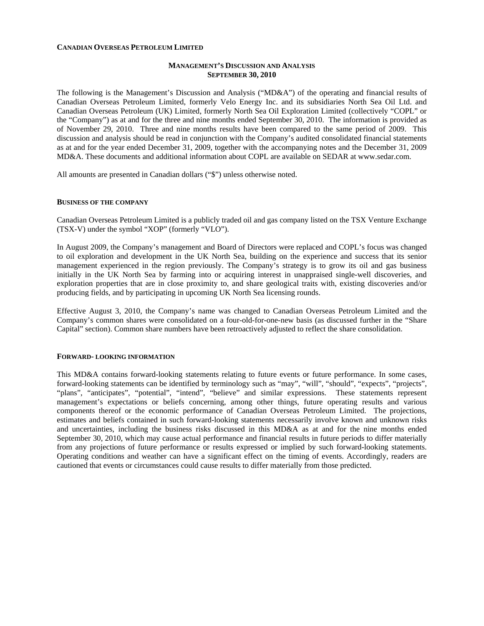#### **CANADIAN OVERSEAS PETROLEUM LIMITED**

### **MANAGEMENT'S DISCUSSION AND ANALYSIS SEPTEMBER 30, 2010**

The following is the Management's Discussion and Analysis ("MD&A") of the operating and financial results of Canadian Overseas Petroleum Limited, formerly Velo Energy Inc. and its subsidiaries North Sea Oil Ltd. and Canadian Overseas Petroleum (UK) Limited, formerly North Sea Oil Exploration Limited (collectively "COPL" or the "Company") as at and for the three and nine months ended September 30, 2010. The information is provided as of November 29, 2010. Three and nine months results have been compared to the same period of 2009. This discussion and analysis should be read in conjunction with the Company's audited consolidated financial statements as at and for the year ended December 31, 2009, together with the accompanying notes and the December 31, 2009 MD&A. These documents and additional information about COPL are available on SEDAR at [www.sedar.com](http://www.sedar.com/).

All amounts are presented in Canadian dollars ("\$") unless otherwise noted.

#### **BUSINESS OF THE COMPANY**

Canadian Overseas Petroleum Limited is a publicly traded oil and gas company listed on the TSX Venture Exchange (TSX-V) under the symbol "XOP" (formerly "VLO").

In August 2009, the Company's management and Board of Directors were replaced and COPL's focus was changed to oil exploration and development in the UK North Sea, building on the experience and success that its senior management experienced in the region previously. The Company's strategy is to grow its oil and gas business initially in the UK North Sea by farming into or acquiring interest in unappraised single-well discoveries, and exploration properties that are in close proximity to, and share geological traits with, existing discoveries and/or producing fields, and by participating in upcoming UK North Sea licensing rounds.

Effective August 3, 2010, the Company's name was changed to Canadian Overseas Petroleum Limited and the Company's common shares were consolidated on a four-old-for-one-new basis (as discussed further in the "Share Capital" section). Common share numbers have been retroactively adjusted to reflect the share consolidation.

#### **FORWARD- LOOKING INFORMATION**

This MD&A contains forward-looking statements relating to future events or future performance. In some cases, forward-looking statements can be identified by terminology such as "may", "will", "should", "expects", "projects", "plans", "anticipates", "potential", "intend", "believe" and similar expressions. These statements represent management's expectations or beliefs concerning, among other things, future operating results and various components thereof or the economic performance of Canadian Overseas Petroleum Limited. The projections, estimates and beliefs contained in such forward-looking statements necessarily involve known and unknown risks and uncertainties, including the business risks discussed in this MD&A as at and for the nine months ended September 30, 2010, which may cause actual performance and financial results in future periods to differ materially from any projections of future performance or results expressed or implied by such forward-looking statements. Operating conditions and weather can have a significant effect on the timing of events. Accordingly, readers are cautioned that events or circumstances could cause results to differ materially from those predicted.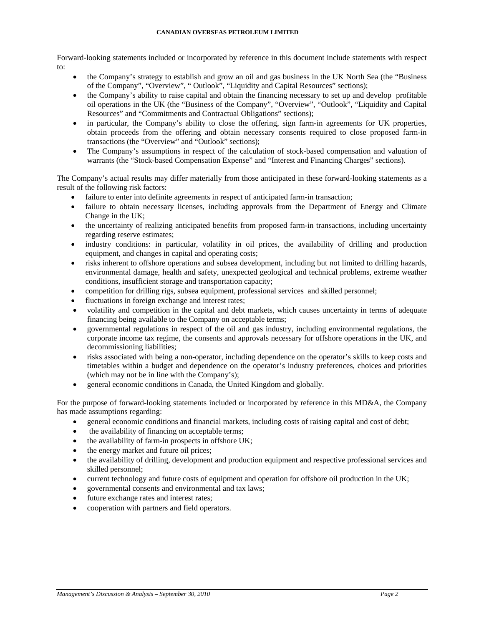Forward-looking statements included or incorporated by reference in this document include statements with respect to:

- the Company's strategy to establish and grow an oil and gas business in the UK North Sea (the "Business of the Company", "Overview", " Outlook", "Liquidity and Capital Resources" sections);
- the Company's ability to raise capital and obtain the financing necessary to set up and develop profitable oil operations in the UK (the "Business of the Company", "Overview", "Outlook", "Liquidity and Capital Resources" and "Commitments and Contractual Obligations" sections);
- in particular, the Company's ability to close the offering, sign farm-in agreements for UK properties, obtain proceeds from the offering and obtain necessary consents required to close proposed farm-in transactions (the "Overview" and "Outlook" sections);
- The Company's assumptions in respect of the calculation of stock-based compensation and valuation of warrants (the "Stock-based Compensation Expense" and "Interest and Financing Charges" sections).

The Company's actual results may differ materially from those anticipated in these forward-looking statements as a result of the following risk factors:

- failure to enter into definite agreements in respect of anticipated farm-in transaction;
- failure to obtain necessary licenses, including approvals from the Department of Energy and Climate Change in the UK;
- the uncertainty of realizing anticipated benefits from proposed farm-in transactions, including uncertainty regarding reserve estimates;
- industry conditions: in particular, volatility in oil prices, the availability of drilling and production equipment, and changes in capital and operating costs;
- risks inherent to offshore operations and subsea development, including but not limited to drilling hazards, environmental damage, health and safety, unexpected geological and technical problems, extreme weather conditions, insufficient storage and transportation capacity;
- competition for drilling rigs, subsea equipment, professional services and skilled personnel;
- fluctuations in foreign exchange and interest rates;
- volatility and competition in the capital and debt markets, which causes uncertainty in terms of adequate financing being available to the Company on acceptable terms;
- governmental regulations in respect of the oil and gas industry, including environmental regulations, the corporate income tax regime, the consents and approvals necessary for offshore operations in the UK, and decommissioning liabilities;
- risks associated with being a non-operator, including dependence on the operator's skills to keep costs and timetables within a budget and dependence on the operator's industry preferences, choices and priorities (which may not be in line with the Company's);
- general economic conditions in Canada, the United Kingdom and globally.

For the purpose of forward-looking statements included or incorporated by reference in this MD&A, the Company has made assumptions regarding:

- general economic conditions and financial markets, including costs of raising capital and cost of debt;
- the availability of financing on acceptable terms;
- the availability of farm-in prospects in offshore UK;
- the energy market and future oil prices;
- the availability of drilling, development and production equipment and respective professional services and skilled personnel;
- current technology and future costs of equipment and operation for offshore oil production in the UK;
- governmental consents and environmental and tax laws;
- future exchange rates and interest rates;
- cooperation with partners and field operators.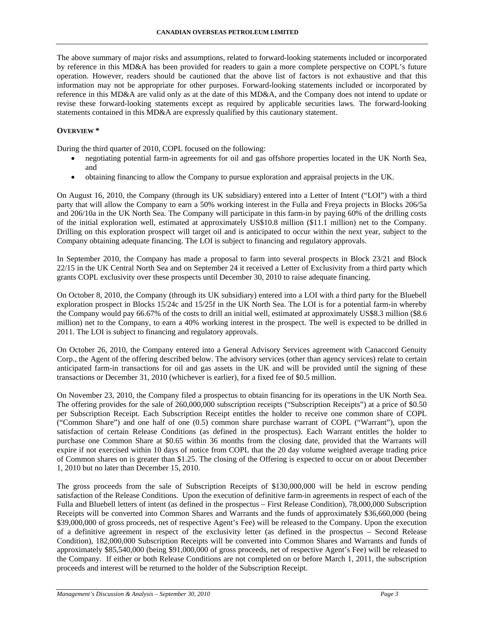The above summary of major risks and assumptions, related to forward-looking statements included or incorporated by reference in this MD&A has been provided for readers to gain a more complete perspective on COPL's future operation. However, readers should be cautioned that the above list of factors is not exhaustive and that this information may not be appropriate for other purposes. Forward-looking statements included or incorporated by reference in this MD&A are valid only as at the date of this MD&A, and the Company does not intend to update or revise these forward-looking statements except as required by applicable securities laws. The forward-looking statements contained in this MD&A are expressly qualified by this cautionary statement.

# **OVERVIEW \***

During the third quarter of 2010, COPL focused on the following:

- negotiating potential farm-in agreements for oil and gas offshore properties located in the UK North Sea, and
- obtaining financing to allow the Company to pursue exploration and appraisal projects in the UK.

On August 16, 2010, the Company (through its UK subsidiary) entered into a Letter of Intent ("LOI") with a third party that will allow the Company to earn a 50% working interest in the Fulla and Freya projects in Blocks 206/5a and 206/10a in the UK North Sea. The Company will participate in this farm-in by paying 60% of the drilling costs of the initial exploration well, estimated at approximately US\$10.8 million (\$11.1 million) net to the Company. Drilling on this exploration prospect will target oil and is anticipated to occur within the next year, subject to the Company obtaining adequate financing. The LOI is subject to financing and regulatory approvals.

In September 2010, the Company has made a proposal to farm into several prospects in Block 23/21 and Block 22/15 in the UK Central North Sea and on September 24 it received a Letter of Exclusivity from a third party which grants COPL exclusivity over these prospects until December 30, 2010 to raise adequate financing.

On October 8, 2010, the Company (through its UK subsidiary) entered into a LOI with a third party for the Bluebell exploration prospect in Blocks 15/24c and 15/25f in the UK North Sea. The LOI is for a potential farm-in whereby the Company would pay 66.67% of the costs to drill an initial well, estimated at approximately US\$8.3 million (\$8.6 million) net to the Company, to earn a 40% working interest in the prospect. The well is expected to be drilled in 2011. The LOI is subject to financing and regulatory approvals.

On October 26, 2010, the Company entered into a General Advisory Services agreement with Canaccord Genuity Corp., the Agent of the offering described below. The advisory services (other than agency services) relate to certain anticipated farm-in transactions for oil and gas assets in the UK and will be provided until the signing of these transactions or December 31, 2010 (whichever is earlier), for a fixed fee of \$0.5 million.

On November 23, 2010, the Company filed a prospectus to obtain financing for its operations in the UK North Sea. The offering provides for the sale of 260,000,000 subscription receipts ("Subscription Receipts") at a price of \$0.50 per Subscription Receipt. Each Subscription Receipt entitles the holder to receive one common share of COPL ("Common Share") and one half of one (0.5) common share purchase warrant of COPL ("Warrant"), upon the satisfaction of certain Release Conditions (as defined in the prospectus). Each Warrant entitles the holder to purchase one Common Share at \$0.65 within 36 months from the closing date, provided that the Warrants will expire if not exercised within 10 days of notice from COPL that the 20 day volume weighted average trading price of Common shares on is greater than \$1.25. The closing of the Offering is expected to occur on or about December 1, 2010 but no later than December 15, 2010.

The gross proceeds from the sale of Subscription Receipts of \$130,000,000 will be held in escrow pending satisfaction of the Release Conditions. Upon the execution of definitive farm-in agreements in respect of each of the Fulla and Bluebell letters of intent (as defined in the prospectus – First Release Condition), 78,000,000 Subscription Receipts will be converted into Common Shares and Warrants and the funds of approximately \$36,660,000 (being \$39,000,000 of gross proceeds, net of respective Agent's Fee) will be released to the Company. Upon the execution of a definitive agreement in respect of the exclusivity letter (as defined in the prospectus – Second Release Condition), 182,000,000 Subscription Receipts will be converted into Common Shares and Warrants and funds of approximately \$85,540,000 (being \$91,000,000 of gross proceeds, net of respective Agent's Fee) will be released to the Company. If either or both Release Conditions are not completed on or before March 1, 2011, the subscription proceeds and interest will be returned to the holder of the Subscription Receipt.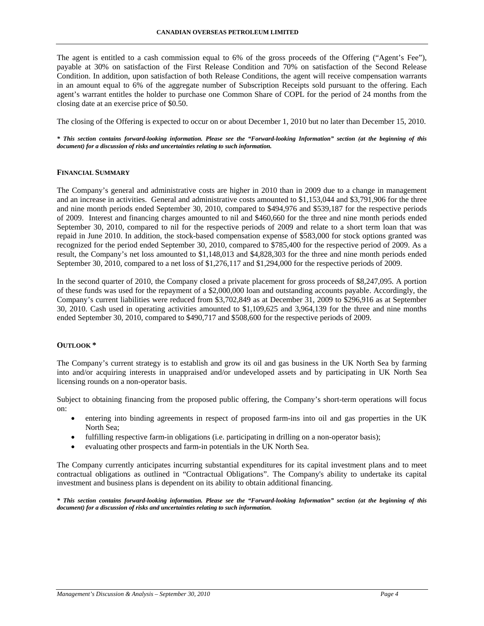The agent is entitled to a cash commission equal to 6% of the gross proceeds of the Offering ("Agent's Fee"), payable at 30% on satisfaction of the First Release Condition and 70% on satisfaction of the Second Release Condition. In addition, upon satisfaction of both Release Conditions, the agent will receive compensation warrants in an amount equal to 6% of the aggregate number of Subscription Receipts sold pursuant to the offering. Each agent's warrant entitles the holder to purchase one Common Share of COPL for the period of 24 months from the closing date at an exercise price of \$0.50.

The closing of the Offering is expected to occur on or about December 1, 2010 but no later than December 15, 2010.

*\* This section contains forward-looking information. Please see the "Forward-looking Information" section (at the beginning of this document) for a discussion of risks and uncertainties relating to such information.* 

#### **FINANCIAL SUMMARY**

The Company's general and administrative costs are higher in 2010 than in 2009 due to a change in management and an increase in activities. General and administrative costs amounted to \$1,153,044 and \$3,791,906 for the three and nine month periods ended September 30, 2010, compared to \$494,976 and \$539,187 for the respective periods of 2009. Interest and financing charges amounted to nil and \$460,660 for the three and nine month periods ended September 30, 2010, compared to nil for the respective periods of 2009 and relate to a short term loan that was repaid in June 2010. In addition, the stock-based compensation expense of \$583,000 for stock options granted was recognized for the period ended September 30, 2010, compared to \$785,400 for the respective period of 2009. As a result, the Company's net loss amounted to \$1,148,013 and \$4,828,303 for the three and nine month periods ended September 30, 2010, compared to a net loss of \$1,276,117 and \$1,294,000 for the respective periods of 2009.

In the second quarter of 2010, the Company closed a private placement for gross proceeds of \$8,247,095. A portion of these funds was used for the repayment of a \$2,000,000 loan and outstanding accounts payable. Accordingly, the Company's current liabilities were reduced from \$3,702,849 as at December 31, 2009 to \$296,916 as at September 30, 2010. Cash used in operating activities amounted to \$1,109,625 and 3,964,139 for the three and nine months ended September 30, 2010, compared to \$490,717 and \$508,600 for the respective periods of 2009.

#### **OUTLOOK \***

The Company's current strategy is to establish and grow its oil and gas business in the UK North Sea by farming into and/or acquiring interests in unappraised and/or undeveloped assets and by participating in UK North Sea licensing rounds on a non-operator basis.

Subject to obtaining financing from the proposed public offering, the Company's short-term operations will focus on:

- entering into binding agreements in respect of proposed farm-ins into oil and gas properties in the UK North Sea;
- fulfilling respective farm-in obligations (i.e. participating in drilling on a non-operator basis);
- evaluating other prospects and farm-in potentials in the UK North Sea.

The Company currently anticipates incurring substantial expenditures for its capital investment plans and to meet contractual obligations as outlined in "Contractual Obligations". The Company's ability to undertake its capital investment and business plans is dependent on its ability to obtain additional financing.

*\* This section contains forward-looking information. Please see the "Forward-looking Information" section (at the beginning of this document) for a discussion of risks and uncertainties relating to such information.*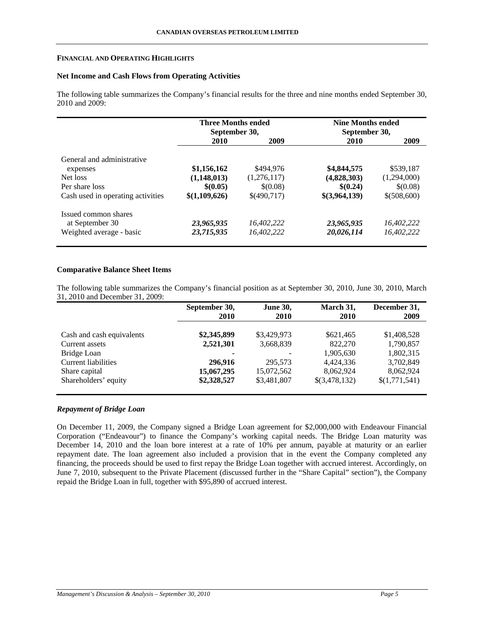#### **FINANCIAL AND OPERATING HIGHLIGHTS**

# **Net Income and Cash Flows from Operating Activities**

The following table summarizes the Company's financial results for the three and nine months ended September 30, 2010 and 2009:

|                                   | <b>Three Months ended</b><br>September 30, |             | <b>Nine Months ended</b><br>September 30, |             |
|-----------------------------------|--------------------------------------------|-------------|-------------------------------------------|-------------|
|                                   | 2010                                       | 2009        | 2010                                      | 2009        |
| General and administrative        |                                            |             |                                           |             |
| expenses                          | \$1,156,162                                | \$494.976   | \$4,844,575                               | \$539,187   |
| Net loss                          | (1,148,013)                                | (1,276,117) | (4,828,303)                               | (1,294,000) |
| Per share loss                    | \$(0.05)                                   | \$(0.08)    | \$(0.24)                                  | \$(0.08)    |
| Cash used in operating activities | \$(1,109,626)                              | \$(490,717) | \$(3,964,139)                             | \$(508,600) |
| Issued common shares              |                                            |             |                                           |             |
| at September 30                   | 23,965,935                                 | 16.402.222  | 23,965,935                                | 16.402.222  |
| Weighted average - basic          | 23,715,935                                 | 16,402,222  | 20,026,114                                | 16,402,222  |

# **Comparative Balance Sheet Items**

The following table summarizes the Company's financial position as at September 30, 2010, June 30, 2010, March 31, 2010 and December 31, 2009:

|                           | September 30,<br>2010 | <b>June 30,</b><br><b>2010</b> | March 31,<br><b>2010</b> | December 31,<br>2009 |
|---------------------------|-----------------------|--------------------------------|--------------------------|----------------------|
|                           |                       |                                |                          |                      |
| Cash and cash equivalents | \$2,345,899           | \$3,429,973                    | \$621,465                | \$1,408,528          |
| Current assets            | 2,521,301             | 3,668,839                      | 822,270                  | 1,790,857            |
| Bridge Loan               | ۰                     |                                | 1,905,630                | 1,802,315            |
| Current liabilities       | 296,916               | 295,573                        | 4,424,336                | 3,702,849            |
| Share capital             | 15,067,295            | 15,072,562                     | 8,062,924                | 8,062,924            |
| Shareholders' equity      | \$2,328,527           | \$3,481,807                    | \$(3,478,132)            | \$(1,771,541)        |

# *Repayment of Bridge Loan*

On December 11, 2009, the Company signed a Bridge Loan agreement for \$2,000,000 with Endeavour Financial Corporation ("Endeavour") to finance the Company's working capital needs. The Bridge Loan maturity was December 14, 2010 and the loan bore interest at a rate of 10% per annum, payable at maturity or an earlier repayment date. The loan agreement also included a provision that in the event the Company completed any financing, the proceeds should be used to first repay the Bridge Loan together with accrued interest. Accordingly, on June 7, 2010, subsequent to the Private Placement (discussed further in the "Share Capital" section"), the Company repaid the Bridge Loan in full, together with \$95,890 of accrued interest.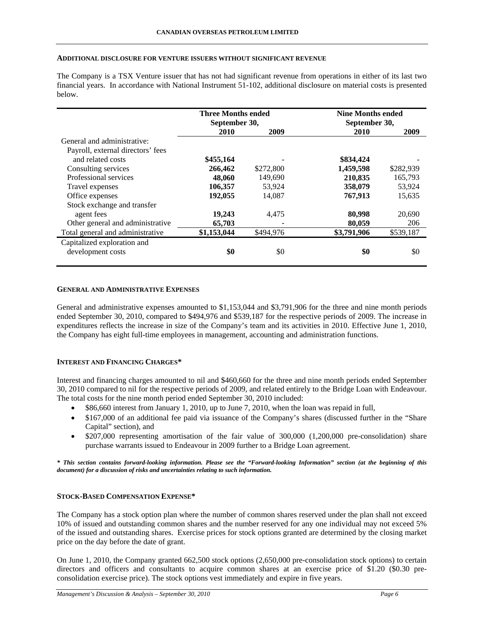#### **ADDITIONAL DISCLOSURE FOR VENTURE ISSUERS WITHOUT SIGNIFICANT REVENUE**

The Company is a TSX Venture issuer that has not had significant revenue from operations in either of its last two financial years. In accordance with National Instrument 51-102, additional disclosure on material costs is presented below.

|                                   | <b>Three Months ended</b><br>September 30, |           | <b>Nine Months ended</b> |           |
|-----------------------------------|--------------------------------------------|-----------|--------------------------|-----------|
|                                   |                                            |           | September 30,            |           |
|                                   | 2010                                       | 2009      | 2010                     | 2009      |
| General and administrative:       |                                            |           |                          |           |
| Payroll, external directors' fees |                                            |           |                          |           |
| and related costs                 | \$455,164                                  |           | \$834,424                |           |
| Consulting services               | 266,462                                    | \$272,800 | 1,459,598                | \$282,939 |
| Professional services             | 48,060                                     | 149,690   | 210,835                  | 165,793   |
| Travel expenses                   | 106,357                                    | 53,924    | 358,079                  | 53,924    |
| Office expenses                   | 192,055                                    | 14,087    | 767,913                  | 15,635    |
| Stock exchange and transfer       |                                            |           |                          |           |
| agent fees                        | 19,243                                     | 4,475     | 80,998                   | 20,690    |
| Other general and administrative  | 65,703                                     | -         | 80,059                   | 206       |
| Total general and administrative  | \$1,153,044                                | \$494,976 | \$3,791,906              | \$539,187 |
| Capitalized exploration and       |                                            |           |                          |           |
| development costs                 | \$0                                        | \$0       | \$0                      | \$0       |

#### **GENERAL AND ADMINISTRATIVE EXPENSES**

General and administrative expenses amounted to \$1,153,044 and \$3,791,906 for the three and nine month periods ended September 30, 2010, compared to \$494,976 and \$539,187 for the respective periods of 2009. The increase in expenditures reflects the increase in size of the Company's team and its activities in 2010. Effective June 1, 2010, the Company has eight full-time employees in management, accounting and administration functions.

### **INTEREST AND FINANCING CHARGES\***

Interest and financing charges amounted to nil and \$460,660 for the three and nine month periods ended September 30, 2010 compared to nil for the respective periods of 2009, and related entirely to the Bridge Loan with Endeavour. The total costs for the nine month period ended September 30, 2010 included:

- \$86,660 interest from January 1, 2010, up to June 7, 2010, when the loan was repaid in full,
- \$167,000 of an additional fee paid via issuance of the Company's shares (discussed further in the "Share" Capital" section), and
- \$207,000 representing amortisation of the fair value of 300,000 (1,200,000 pre-consolidation) share purchase warrants issued to Endeavour in 2009 further to a Bridge Loan agreement.

*\* This section contains forward-looking information. Please see the "Forward-looking Information" section (at the beginning of this document) for a discussion of risks and uncertainties relating to such information.* 

### **STOCK-BASED COMPENSATION EXPENSE\***

The Company has a stock option plan where the number of common shares reserved under the plan shall not exceed 10% of issued and outstanding common shares and the number reserved for any one individual may not exceed 5% of the issued and outstanding shares. Exercise prices for stock options granted are determined by the closing market price on the day before the date of grant.

On June 1, 2010, the Company granted 662,500 stock options (2,650,000 pre-consolidation stock options) to certain directors and officers and consultants to acquire common shares at an exercise price of \$1.20 (\$0.30 preconsolidation exercise price). The stock options vest immediately and expire in five years.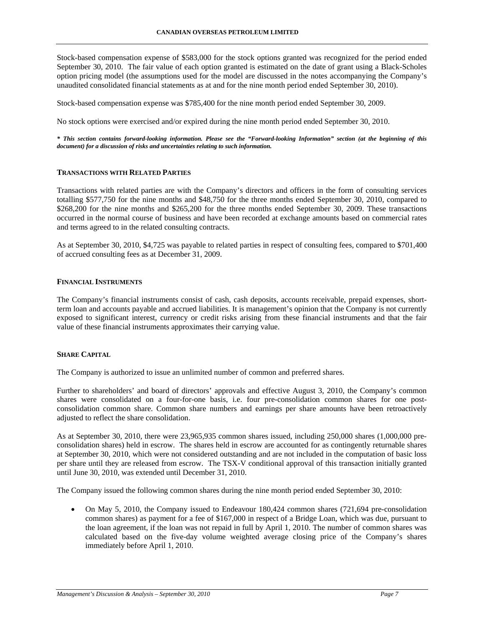Stock-based compensation expense of \$583,000 for the stock options granted was recognized for the period ended September 30, 2010. The fair value of each option granted is estimated on the date of grant using a Black-Scholes option pricing model (the assumptions used for the model are discussed in the notes accompanying the Company's unaudited consolidated financial statements as at and for the nine month period ended September 30, 2010).

Stock-based compensation expense was \$785,400 for the nine month period ended September 30, 2009.

No stock options were exercised and/or expired during the nine month period ended September 30, 2010.

*\* This section contains forward-looking information. Please see the "Forward-looking Information" section (at the beginning of this document) for a discussion of risks and uncertainties relating to such information.* 

# **TRANSACTIONS WITH RELATED PARTIES**

Transactions with related parties are with the Company's directors and officers in the form of consulting services totalling \$577,750 for the nine months and \$48,750 for the three months ended September 30, 2010, compared to \$268,200 for the nine months and \$265,200 for the three months ended September 30, 2009. These transactions occurred in the normal course of business and have been recorded at exchange amounts based on commercial rates and terms agreed to in the related consulting contracts.

As at September 30, 2010, \$4,725 was payable to related parties in respect of consulting fees, compared to \$701,400 of accrued consulting fees as at December 31, 2009.

#### **FINANCIAL INSTRUMENTS**

The Company's financial instruments consist of cash, cash deposits, accounts receivable, prepaid expenses, shortterm loan and accounts payable and accrued liabilities. It is management's opinion that the Company is not currently exposed to significant interest, currency or credit risks arising from these financial instruments and that the fair value of these financial instruments approximates their carrying value.

#### **SHARE CAPITAL**

The Company is authorized to issue an unlimited number of common and preferred shares.

Further to shareholders' and board of directors' approvals and effective August 3, 2010, the Company's common shares were consolidated on a four-for-one basis, i.e. four pre-consolidation common shares for one postconsolidation common share. Common share numbers and earnings per share amounts have been retroactively adjusted to reflect the share consolidation.

As at September 30, 2010, there were 23,965,935 common shares issued, including 250,000 shares (1,000,000 preconsolidation shares) held in escrow. The shares held in escrow are accounted for as contingently returnable shares at September 30, 2010, which were not considered outstanding and are not included in the computation of basic loss per share until they are released from escrow. The TSX-V conditional approval of this transaction initially granted until June 30, 2010, was extended until December 31, 2010.

The Company issued the following common shares during the nine month period ended September 30, 2010:

• On May 5, 2010, the Company issued to Endeavour 180,424 common shares (721,694 pre-consolidation common shares) as payment for a fee of \$167,000 in respect of a Bridge Loan, which was due, pursuant to the loan agreement, if the loan was not repaid in full by April 1, 2010. The number of common shares was calculated based on the five-day volume weighted average closing price of the Company's shares immediately before April 1, 2010.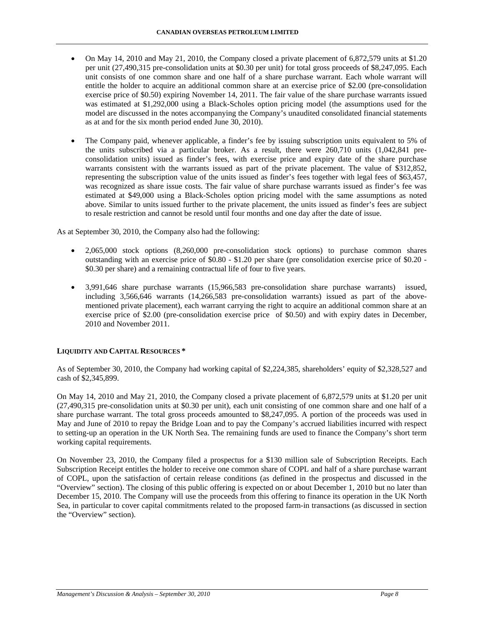- On May 14, 2010 and May 21, 2010, the Company closed a private placement of 6,872,579 units at \$1.20 per unit (27,490,315 pre-consolidation units at \$0.30 per unit) for total gross proceeds of \$8,247,095. Each unit consists of one common share and one half of a share purchase warrant. Each whole warrant will entitle the holder to acquire an additional common share at an exercise price of \$2.00 (pre-consolidation exercise price of \$0.50) expiring November 14, 2011. The fair value of the share purchase warrants issued was estimated at \$1,292,000 using a Black-Scholes option pricing model (the assumptions used for the model are discussed in the notes accompanying the Company's unaudited consolidated financial statements as at and for the six month period ended June 30, 2010).
- The Company paid, whenever applicable, a finder's fee by issuing subscription units equivalent to 5% of the units subscribed via a particular broker. As a result, there were 260,710 units (1,042,841 preconsolidation units) issued as finder's fees, with exercise price and expiry date of the share purchase warrants consistent with the warrants issued as part of the private placement. The value of \$312,852, representing the subscription value of the units issued as finder's fees together with legal fees of \$63,457, was recognized as share issue costs. The fair value of share purchase warrants issued as finder's fee was estimated at \$49,000 using a Black-Scholes option pricing model with the same assumptions as noted above. Similar to units issued further to the private placement, the units issued as finder's fees are subject to resale restriction and cannot be resold until four months and one day after the date of issue.

As at September 30, 2010, the Company also had the following:

- 2,065,000 stock options (8,260,000 pre-consolidation stock options) to purchase common shares outstanding with an exercise price of \$0.80 - \$1.20 per share (pre consolidation exercise price of \$0.20 - \$0.30 per share) and a remaining contractual life of four to five years.
- 3,991,646 share purchase warrants (15,966,583 pre-consolidation share purchase warrants) issued, including 3,566,646 warrants (14,266,583 pre-consolidation warrants) issued as part of the abovementioned private placement), each warrant carrying the right to acquire an additional common share at an exercise price of \$2.00 (pre-consolidation exercise price of \$0.50) and with expiry dates in December, 2010 and November 2011.

# **LIQUIDITY AND CAPITAL RESOURCES \***

As of September 30, 2010, the Company had working capital of \$2,224,385, shareholders' equity of \$2,328,527 and cash of \$2,345,899.

On May 14, 2010 and May 21, 2010, the Company closed a private placement of 6,872,579 units at \$1.20 per unit (27,490,315 pre-consolidation units at \$0.30 per unit), each unit consisting of one common share and one half of a share purchase warrant. The total gross proceeds amounted to \$8,247,095. A portion of the proceeds was used in May and June of 2010 to repay the Bridge Loan and to pay the Company's accrued liabilities incurred with respect to setting-up an operation in the UK North Sea. The remaining funds are used to finance the Company's short term working capital requirements.

On November 23, 2010, the Company filed a prospectus for a \$130 million sale of Subscription Receipts. Each Subscription Receipt entitles the holder to receive one common share of COPL and half of a share purchase warrant of COPL, upon the satisfaction of certain release conditions (as defined in the prospectus and discussed in the "Overview" section). The closing of this public offering is expected on or about December 1, 2010 but no later than December 15, 2010. The Company will use the proceeds from this offering to finance its operation in the UK North Sea, in particular to cover capital commitments related to the proposed farm-in transactions (as discussed in section the "Overview" section).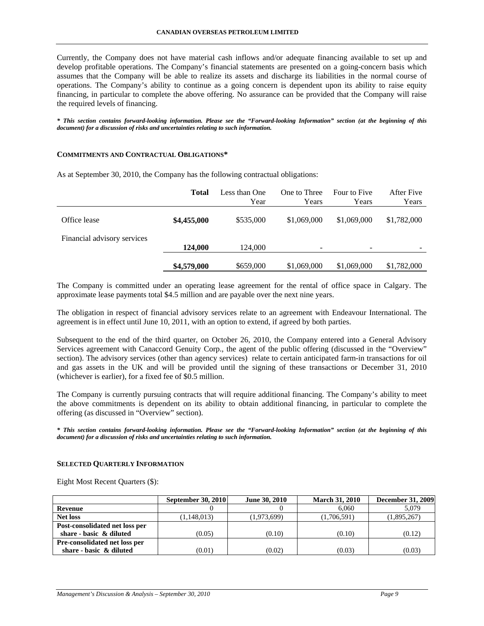Currently, the Company does not have material cash inflows and/or adequate financing available to set up and develop profitable operations. The Company's financial statements are presented on a going-concern basis which assumes that the Company will be able to realize its assets and discharge its liabilities in the normal course of operations. The Company's ability to continue as a going concern is dependent upon its ability to raise equity financing, in particular to complete the above offering. No assurance can be provided that the Company will raise the required levels of financing.

*\* This section contains forward-looking information. Please see the "Forward-looking Information" section (at the beginning of this document) for a discussion of risks and uncertainties relating to such information.* 

#### **COMMITMENTS AND CONTRACTUAL OBLIGATIONS\***

|                             | <b>Total</b> | Less than One<br>Year | One to Three<br>Years    | Four to Five<br>Years    | After Five<br>Years |
|-----------------------------|--------------|-----------------------|--------------------------|--------------------------|---------------------|
| Office lease                | \$4,455,000  | \$535,000             | \$1,069,000              | \$1,069,000              | \$1,782,000         |
| Financial advisory services | 124,000      | 124,000               | $\overline{\phantom{0}}$ | $\overline{\phantom{0}}$ |                     |
|                             | \$4,579,000  | \$659,000             | \$1,069,000              | \$1,069,000              | \$1,782,000         |

As at September 30, 2010, the Company has the following contractual obligations:

The Company is committed under an operating lease agreement for the rental of office space in Calgary. The approximate lease payments total \$4.5 million and are payable over the next nine years.

The obligation in respect of financial advisory services relate to an agreement with Endeavour International. The agreement is in effect until June 10, 2011, with an option to extend, if agreed by both parties.

Subsequent to the end of the third quarter, on October 26, 2010, the Company entered into a General Advisory Services agreement with Canaccord Genuity Corp., the agent of the public offering (discussed in the "Overview" section). The advisory services (other than agency services) relate to certain anticipated farm-in transactions for oil and gas assets in the UK and will be provided until the signing of these transactions or December 31, 2010 (whichever is earlier), for a fixed fee of \$0.5 million.

The Company is currently pursuing contracts that will require additional financing. The Company's ability to meet the above commitments is dependent on its ability to obtain additional financing, in particular to complete the offering (as discussed in "Overview" section).

*\* This section contains forward-looking information. Please see the "Forward-looking Information" section (at the beginning of this document) for a discussion of risks and uncertainties relating to such information.* 

#### **SELECTED QUARTERLY INFORMATION**

Eight Most Recent Quarters (\$):

|                                | September 30, 2010 | June 30, 2010 | <b>March 31, 2010</b> | <b>December 31, 2009</b> |
|--------------------------------|--------------------|---------------|-----------------------|--------------------------|
| Revenue                        |                    |               | 6.060                 | 5.079                    |
| <b>Net loss</b>                | (1,148,013)        | (1,973,699)   | (1,706,591)           | (1,895,267)              |
| Post-consolidated net loss per |                    |               |                       |                          |
| share - basic & diluted        | (0.05)             | (0.10)        | (0.10)                | (0.12)                   |
| Pre-consolidated net loss per  |                    |               |                       |                          |
| share - basic & diluted        | (0.01)             | (0.02)        | (0.03)                | (0.03)                   |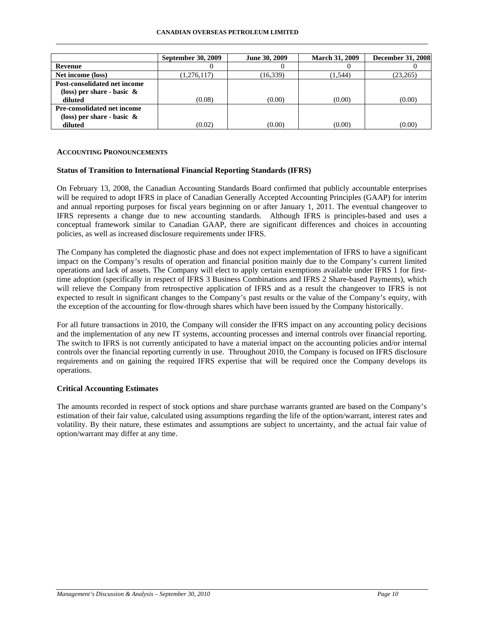#### **CANADIAN OVERSEAS PETROLEUM LIMITED**

|                                    | <b>September 30, 2009</b> | June 30, 2009 | <b>March 31, 2009</b> | <b>December 31, 2008</b> |
|------------------------------------|---------------------------|---------------|-----------------------|--------------------------|
| Revenue                            |                           |               |                       |                          |
| Net income (loss)                  | (1,276,117)               | (16, 339)     | (1,544)               | (23,265)                 |
| Post-consolidated net income       |                           |               |                       |                          |
| (loss) per share - basic $\&$      |                           |               |                       |                          |
| diluted                            | (0.08)                    | (0.00)        | (0.00)                | (0.00)                   |
| <b>Pre-consolidated net income</b> |                           |               |                       |                          |
| (loss) per share - basic $\&$      |                           |               |                       |                          |
| diluted                            | (0.02)                    | (0.00)        | (0.00)                | (0.00)                   |

### **ACCOUNTING PRONOUNCEMENTS**

# **Status of Transition to International Financial Reporting Standards (IFRS)**

On February 13, 2008, the Canadian Accounting Standards Board confirmed that publicly accountable enterprises will be required to adopt IFRS in place of Canadian Generally Accepted Accounting Principles (GAAP) for interim and annual reporting purposes for fiscal years beginning on or after January 1, 2011. The eventual changeover to IFRS represents a change due to new accounting standards. Although IFRS is principles-based and uses a conceptual framework similar to Canadian GAAP, there are significant differences and choices in accounting policies, as well as increased disclosure requirements under IFRS.

The Company has completed the diagnostic phase and does not expect implementation of IFRS to have a significant impact on the Company's results of operation and financial position mainly due to the Company's current limited operations and lack of assets. The Company will elect to apply certain exemptions available under IFRS 1 for firsttime adoption (specifically in respect of IFRS 3 Business Combinations and IFRS 2 Share-based Payments), which will relieve the Company from retrospective application of IFRS and as a result the changeover to IFRS is not expected to result in significant changes to the Company's past results or the value of the Company's equity, with the exception of the accounting for flow-through shares which have been issued by the Company historically.

For all future transactions in 2010, the Company will consider the IFRS impact on any accounting policy decisions and the implementation of any new IT systems, accounting processes and internal controls over financial reporting. The switch to IFRS is not currently anticipated to have a material impact on the accounting policies and/or internal controls over the financial reporting currently in use. Throughout 2010, the Company is focused on IFRS disclosure requirements and on gaining the required IFRS expertise that will be required once the Company develops its operations.

# **Critical Accounting Estimates**

The amounts recorded in respect of stock options and share purchase warrants granted are based on the Company's estimation of their fair value, calculated using assumptions regarding the life of the option/warrant, interest rates and volatility. By their nature, these estimates and assumptions are subject to uncertainty, and the actual fair value of option/warrant may differ at any time.